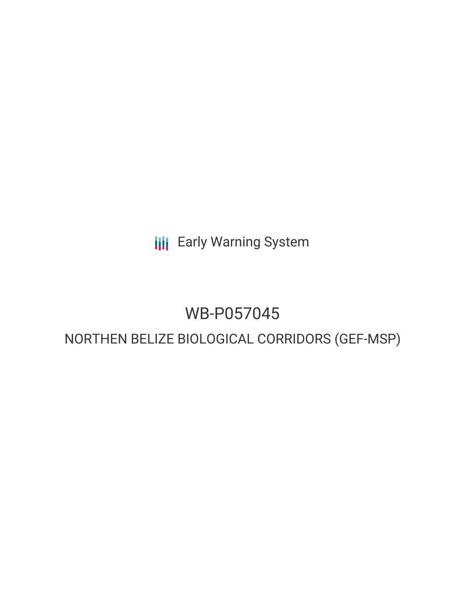**III** Early Warning System

# WB-P057045

# NORTHEN BELIZE BIOLOGICAL CORRIDORS (GEF-MSP)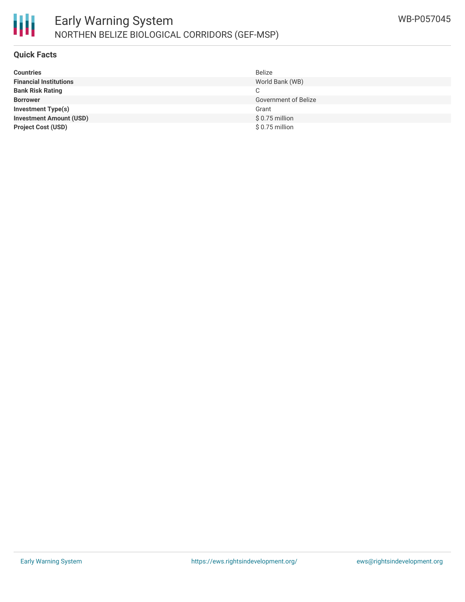

### **Quick Facts**

| <b>Countries</b>               | <b>Belize</b>               |
|--------------------------------|-----------------------------|
| <b>Financial Institutions</b>  | World Bank (WB)             |
| <b>Bank Risk Rating</b>        | C                           |
| <b>Borrower</b>                | <b>Government of Belize</b> |
| <b>Investment Type(s)</b>      | Grant                       |
| <b>Investment Amount (USD)</b> | \$0.75 million              |
| <b>Project Cost (USD)</b>      | $$0.75$ million             |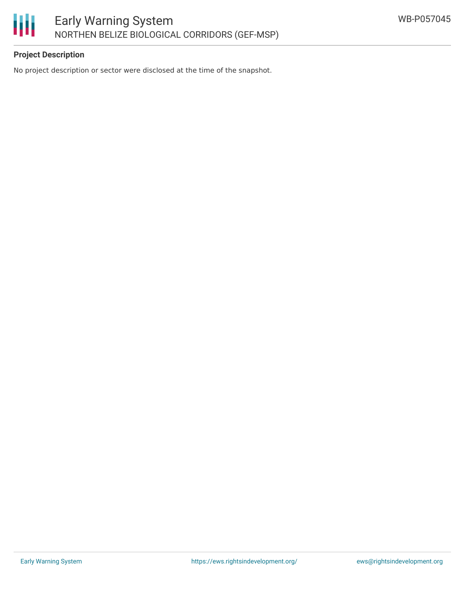

## **Project Description**

No project description or sector were disclosed at the time of the snapshot.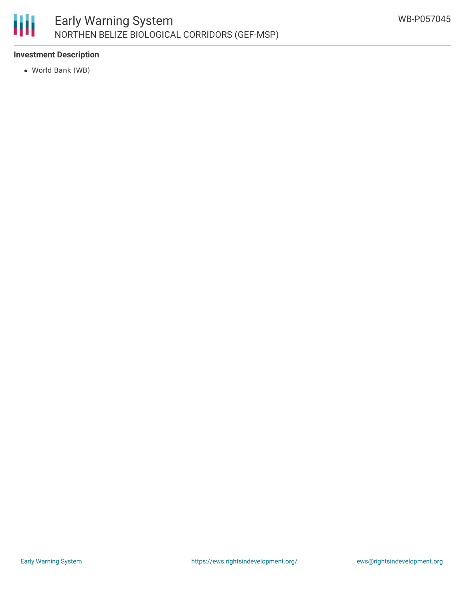

### **Investment Description**

World Bank (WB)